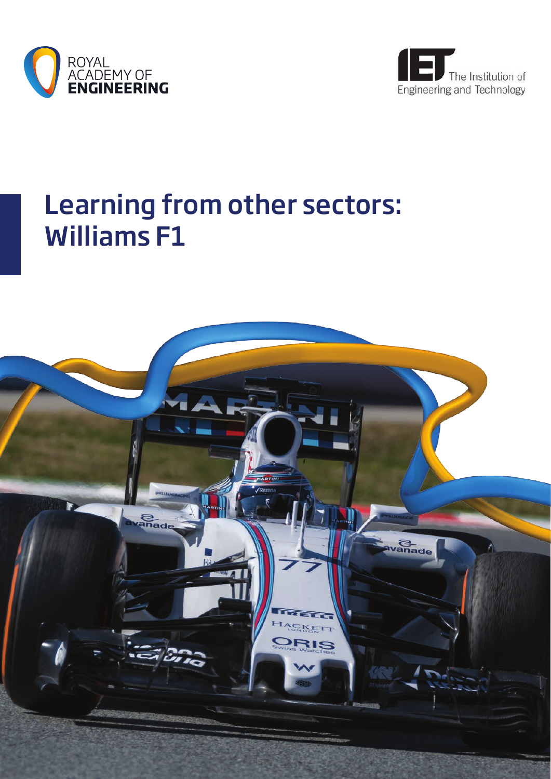



# Learning from other sectors: Williams F1